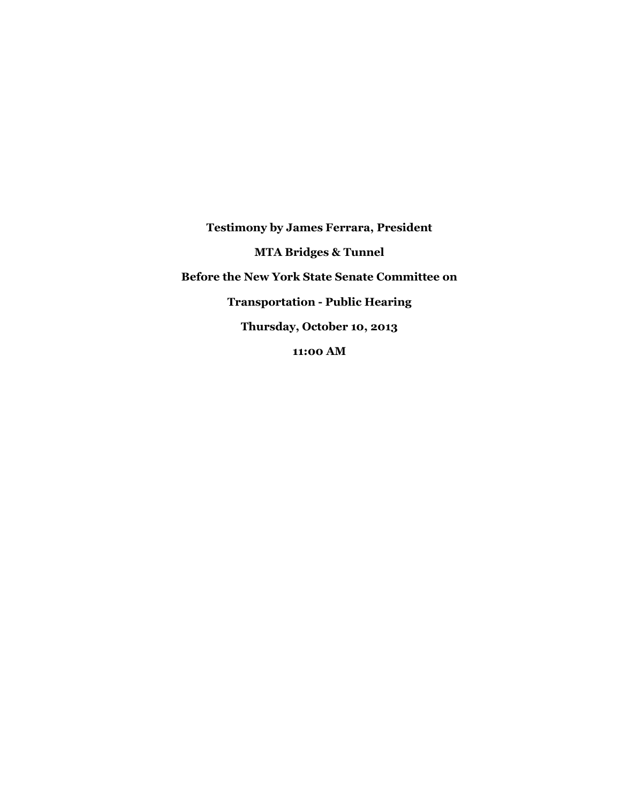**Testimony by James Ferrara, President MTA Bridges & Tunnel Before the New York State Senate Committee on Transportation - Public Hearing Thursday, October 10, 2013 11:00 AM**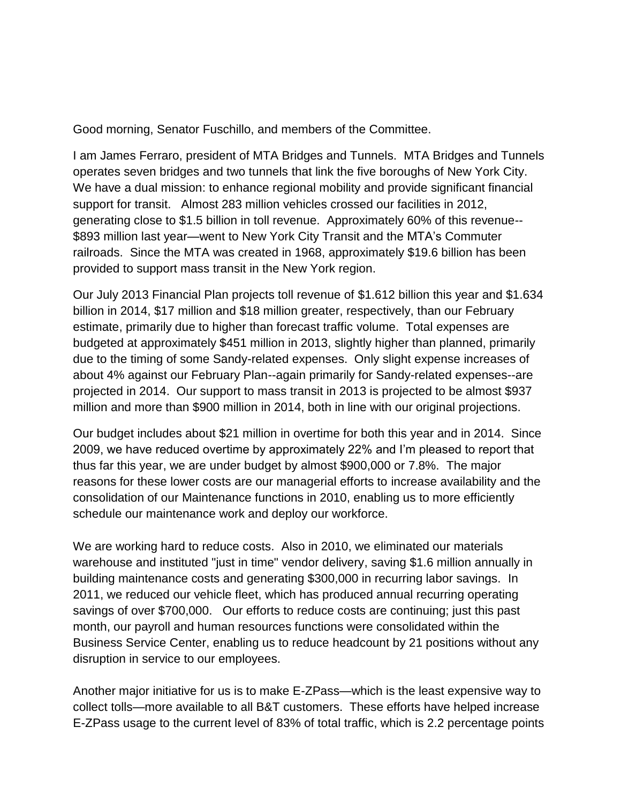Good morning, Senator Fuschillo, and members of the Committee.

I am James Ferraro, president of MTA Bridges and Tunnels. MTA Bridges and Tunnels operates seven bridges and two tunnels that link the five boroughs of New York City. We have a dual mission: to enhance regional mobility and provide significant financial support for transit. Almost 283 million vehicles crossed our facilities in 2012, generating close to \$1.5 billion in toll revenue. Approximately 60% of this revenue-- \$893 million last year—went to New York City Transit and the MTA's Commuter railroads. Since the MTA was created in 1968, approximately \$19.6 billion has been provided to support mass transit in the New York region.

Our July 2013 Financial Plan projects toll revenue of \$1.612 billion this year and \$1.634 billion in 2014, \$17 million and \$18 million greater, respectively, than our February estimate, primarily due to higher than forecast traffic volume. Total expenses are budgeted at approximately \$451 million in 2013, slightly higher than planned, primarily due to the timing of some Sandy-related expenses. Only slight expense increases of about 4% against our February Plan--again primarily for Sandy-related expenses--are projected in 2014. Our support to mass transit in 2013 is projected to be almost \$937 million and more than \$900 million in 2014, both in line with our original projections.

Our budget includes about \$21 million in overtime for both this year and in 2014. Since 2009, we have reduced overtime by approximately 22% and I'm pleased to report that thus far this year, we are under budget by almost \$900,000 or 7.8%. The major reasons for these lower costs are our managerial efforts to increase availability and the consolidation of our Maintenance functions in 2010, enabling us to more efficiently schedule our maintenance work and deploy our workforce.

We are working hard to reduce costs. Also in 2010, we eliminated our materials warehouse and instituted "just in time" vendor delivery, saving \$1.6 million annually in building maintenance costs and generating \$300,000 in recurring labor savings. In 2011, we reduced our vehicle fleet, which has produced annual recurring operating savings of over \$700,000. Our efforts to reduce costs are continuing; just this past month, our payroll and human resources functions were consolidated within the Business Service Center, enabling us to reduce headcount by 21 positions without any disruption in service to our employees.

Another major initiative for us is to make E-ZPass—which is the least expensive way to collect tolls—more available to all B&T customers. These efforts have helped increase E-ZPass usage to the current level of 83% of total traffic, which is 2.2 percentage points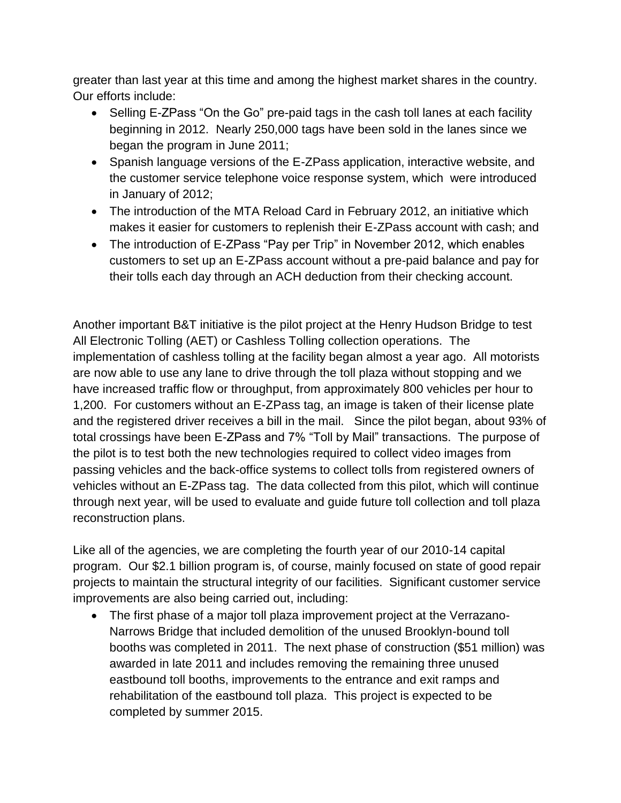greater than last year at this time and among the highest market shares in the country. Our efforts include:

- Selling E-ZPass "On the Go" pre-paid tags in the cash toll lanes at each facility beginning in 2012. Nearly 250,000 tags have been sold in the lanes since we began the program in June 2011;
- Spanish language versions of the E-ZPass application, interactive website, and the customer service telephone voice response system, which were introduced in January of 2012;
- The introduction of the MTA Reload Card in February 2012, an initiative which makes it easier for customers to replenish their E-ZPass account with cash; and
- The introduction of E-ZPass "Pay per Trip" in November 2012, which enables customers to set up an E-ZPass account without a pre-paid balance and pay for their tolls each day through an ACH deduction from their checking account.

Another important B&T initiative is the pilot project at the Henry Hudson Bridge to test All Electronic Tolling (AET) or Cashless Tolling collection operations. The implementation of cashless tolling at the facility began almost a year ago. All motorists are now able to use any lane to drive through the toll plaza without stopping and we have increased traffic flow or throughput, from approximately 800 vehicles per hour to 1,200. For customers without an E-ZPass tag, an image is taken of their license plate and the registered driver receives a bill in the mail. Since the pilot began, about 93% of total crossings have been E-ZPass and 7% "Toll by Mail" transactions. The purpose of the pilot is to test both the new technologies required to collect video images from passing vehicles and the back-office systems to collect tolls from registered owners of vehicles without an E-ZPass tag. The data collected from this pilot, which will continue through next year, will be used to evaluate and guide future toll collection and toll plaza reconstruction plans.

Like all of the agencies, we are completing the fourth year of our 2010-14 capital program. Our \$2.1 billion program is, of course, mainly focused on state of good repair projects to maintain the structural integrity of our facilities. Significant customer service improvements are also being carried out, including:

 The first phase of a major toll plaza improvement project at the Verrazano-Narrows Bridge that included demolition of the unused Brooklyn-bound toll booths was completed in 2011. The next phase of construction (\$51 million) was awarded in late 2011 and includes removing the remaining three unused eastbound toll booths, improvements to the entrance and exit ramps and rehabilitation of the eastbound toll plaza. This project is expected to be completed by summer 2015.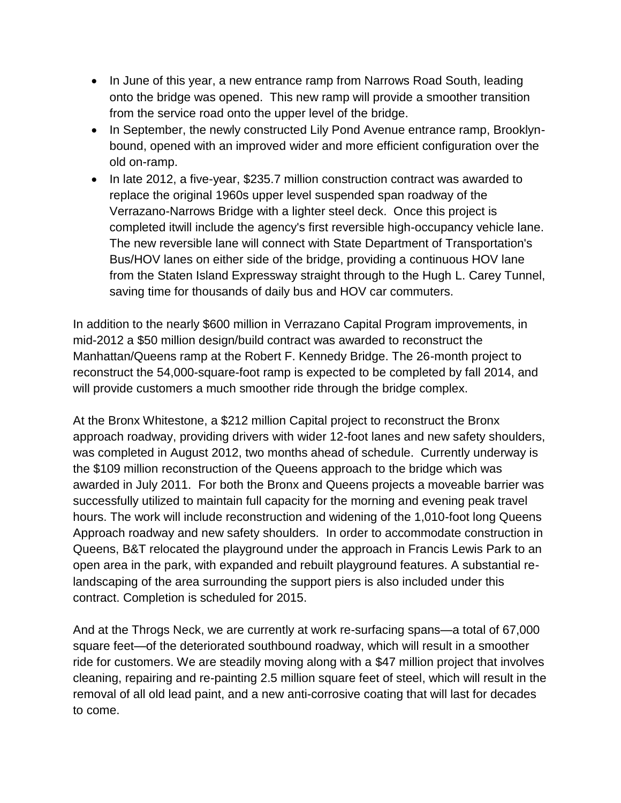- In June of this year, a new entrance ramp from Narrows Road South, leading onto the bridge was opened. This new ramp will provide a smoother transition from the service road onto the upper level of the bridge.
- In September, the newly constructed Lily Pond Avenue entrance ramp, Brooklynbound, opened with an improved wider and more efficient configuration over the old on-ramp.
- In late 2012, a five-year, \$235.7 million construction contract was awarded to replace the original 1960s upper level suspended span roadway of the Verrazano-Narrows Bridge with a lighter steel deck. Once this project is completed itwill include the agency's first reversible high-occupancy vehicle lane. The new reversible lane will connect with State Department of Transportation's Bus/HOV lanes on either side of the bridge, providing a continuous HOV lane from the Staten Island Expressway straight through to the Hugh L. Carey Tunnel, saving time for thousands of daily bus and HOV car commuters.

In addition to the nearly \$600 million in Verrazano Capital Program improvements, in mid-2012 a \$50 million design/build contract was awarded to reconstruct the Manhattan/Queens ramp at the Robert F. Kennedy Bridge. The 26-month project to reconstruct the 54,000-square-foot ramp is expected to be completed by fall 2014, and will provide customers a much smoother ride through the bridge complex.

At the Bronx Whitestone, a \$212 million Capital project to reconstruct the Bronx approach roadway, providing drivers with wider 12-foot lanes and new safety shoulders, was completed in August 2012, two months ahead of schedule. Currently underway is the \$109 million reconstruction of the Queens approach to the bridge which was awarded in July 2011. For both the Bronx and Queens projects a moveable barrier was successfully utilized to maintain full capacity for the morning and evening peak travel hours. The work will include reconstruction and widening of the 1,010-foot long Queens Approach roadway and new safety shoulders. In order to accommodate construction in Queens, B&T relocated the playground under the approach in Francis Lewis Park to an open area in the park, with expanded and rebuilt playground features. A substantial relandscaping of the area surrounding the support piers is also included under this contract. Completion is scheduled for 2015.

And at the Throgs Neck, we are currently at work re-surfacing spans—a total of 67,000 square feet—of the deteriorated southbound roadway, which will result in a smoother ride for customers. We are steadily moving along with a \$47 million project that involves cleaning, repairing and re-painting 2.5 million square feet of steel, which will result in the removal of all old lead paint, and a new anti-corrosive coating that will last for decades to come.